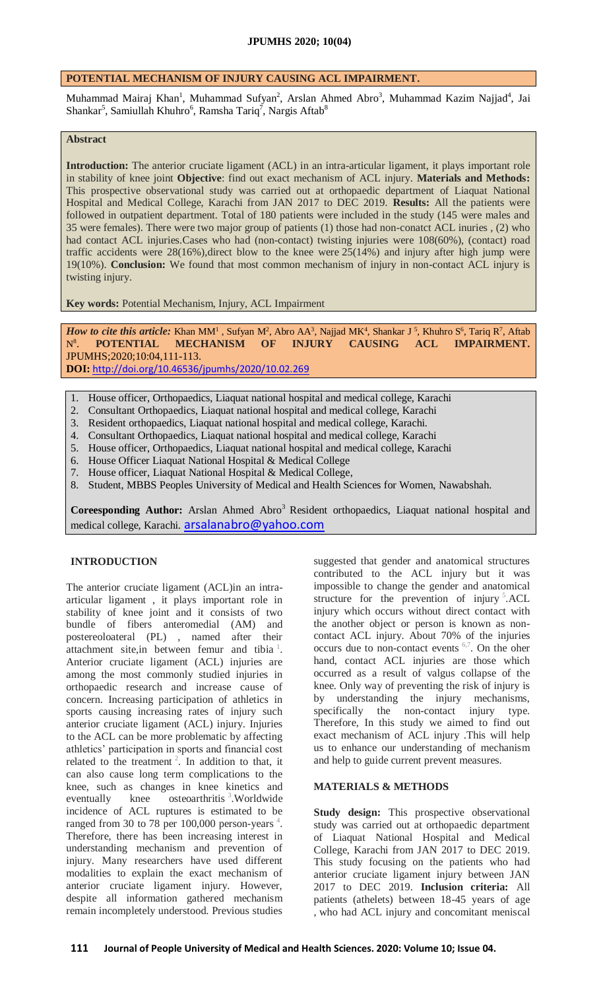# **POTENTIAL MECHANISM OF INJURY CAUSING ACL IMPAIRMENT.**

Muhammad Mairaj Khan<sup>1</sup>, Muhammad Sufyan<sup>2</sup>, Arslan Ahmed Abro<sup>3</sup>, Muhammad Kazim Najjad<sup>4</sup>, Jai Shankar<sup>5</sup>, Samiullah Khuhro<sup>6</sup>, Ramsha Tariq<sup>7</sup>, Nargis Aftab<sup>8</sup>

#### **Abstract**

**Introduction:** The anterior cruciate ligament (ACL) in an intra-articular ligament, it plays important role in stability of knee joint **Objective**: find out exact mechanism of ACL injury. **Materials and Methods:** This prospective observational study was carried out at orthopaedic department of Liaquat National Hospital and Medical College, Karachi from JAN 2017 to DEC 2019. **Results:** All the patients were followed in outpatient department. Total of 180 patients were included in the study (145 were males and 35 were females). There were two major group of patients (1) those had non-conatct ACL inuries , (2) who had contact ACL injuries.Cases who had (non-contact) twisting injuries were 108(60%), (contact) road traffic accidents were 28(16%),direct blow to the knee were 25(14%) and injury after high jump were 19(10%). **Conclusion:** We found that most common mechanism of injury in non-contact ACL injury is twisting injury.

**Key words:** Potential Mechanism, Injury, ACL Impairment

*How to cite this article:* Khan MM<sup>1</sup>, Sufyan M<sup>2</sup>, Abro AA<sup>3</sup>, Najjad MK<sup>4</sup>, Shankar J<sup>5</sup>, Khuhro S<sup>6</sup>, Tariq R<sup>7</sup>, Aftab  $\mathrm{N}^{8-}$ . **POTENTIAL MECHANISM OF INJURY CAUSING ACL IMPAIRMENT.** JPUMHS;2020;10:04,111-113. **DOI:** <http://doi.org/10.46536/jpumhs/2020/10.02.269>

- 1. House officer, Orthopaedics, Liaquat national hospital and medical college, Karachi
- 2. Consultant Orthopaedics, Liaquat national hospital and medical college, Karachi
- 3. Resident orthopaedics, Liaquat national hospital and medical college, Karachi.
- 4. Consultant Orthopaedics, Liaquat national hospital and medical college, Karachi
- 5. House officer, Orthopaedics, Liaquat national hospital and medical college, Karachi
- 6. House Officer Liaquat National Hospital & Medical College
- 7. House officer, Liaquat National Hospital & Medical College,
- 8. Student, MBBS Peoples University of Medical and Health Sciences for Women, Nawabshah.

Coreesponding Author: Arslan Ahmed Abro<sup>3</sup> Resident orthopaedics, Liaquat national hospital and medical college, Karachi. [arsalanabro@yahoo.com](mailto:arsalanabro@yahoo.com)

## **INTRODUCTION**

The anterior cruciate ligament (ACL)in an intraarticular ligament , it plays important role in stability of knee joint and it consists of two bundle of fibers anteromedial (AM) and postereoloateral (PL) , named after their attachment site, in between femur and tibia<sup>1</sup>[.](https://www.cureus.com/publish/articles/39256-potential-mechanism-of-injury-causing-acl-impairment/preview#references) Anterior cruciate ligament (ACL) injuries are among the most commonly studied injuries in orthopaedic research and increase cause of concern. Increasing participation of athletics in sports causing increasing rates of injury such anterior cruciate ligament (ACL) injury. Injuries to the ACL can be more problematic by affecting athletics' participation in sports and financial cost related to the treatment  $2$ [.](https://www.cureus.com/publish/articles/39256-potential-mechanism-of-injury-causing-acl-impairment/preview#references) In addition to that, it can also cause long term complications to the knee, such as changes in knee kinetics and eventually knee osteoarthritis <sup>3</sup>[.](https://www.cureus.com/publish/articles/39256-potential-mechanism-of-injury-causing-acl-impairment/preview#references) Worldwide incidence of ACL ruptures is estimated to be ranged from 30 to 78 per 100,000 person-years  $4$ [.](https://www.cureus.com/publish/articles/39256-potential-mechanism-of-injury-causing-acl-impairment/preview#references) Therefore, there has been increasing interest in understanding mechanism and prevention of injury. Many researchers have used different modalities to explain the exact mechanism of anterior cruciate ligament injury. However, despite all information gathered mechanism remain incompletely understood. Previous studies

suggested that gender and anatomical structures contributed to the ACL injury but it was impossible to change the gender and anatomical structure for the prevention of injury  $5$ [.](https://www.cureus.com/publish/articles/39256-potential-mechanism-of-injury-causing-acl-impairment/preview#references)ACL injury which occurs without direct contact with the another object or person is known as noncontact ACL injury. About 70% of the injuries occurs due to non-contact events [6,7](https://www.cureus.com/publish/articles/39256-potential-mechanism-of-injury-causing-acl-impairment/preview#references). On the oher hand, contact ACL injuries are those which occurred as a result of valgus collapse of the knee. Only way of preventing the risk of injury is by understanding the injury mechanisms, specifically the non-contact injury type. Therefore, In this study we aimed to find out exact mechanism of ACL injury .This will help us to enhance our understanding of mechanism and help to guide current prevent measures.

## **MATERIALS & METHODS**

**Study design:** This prospective observational study was carried out at orthopaedic department of Liaquat National Hospital and Medical College, Karachi from JAN 2017 to DEC 2019. This study focusing on the patients who had anterior cruciate ligament injury between JAN 2017 to DEC 2019. **Inclusion criteria:** All patients (athelets) between 18-45 years of age , who had ACL injury and concomitant meniscal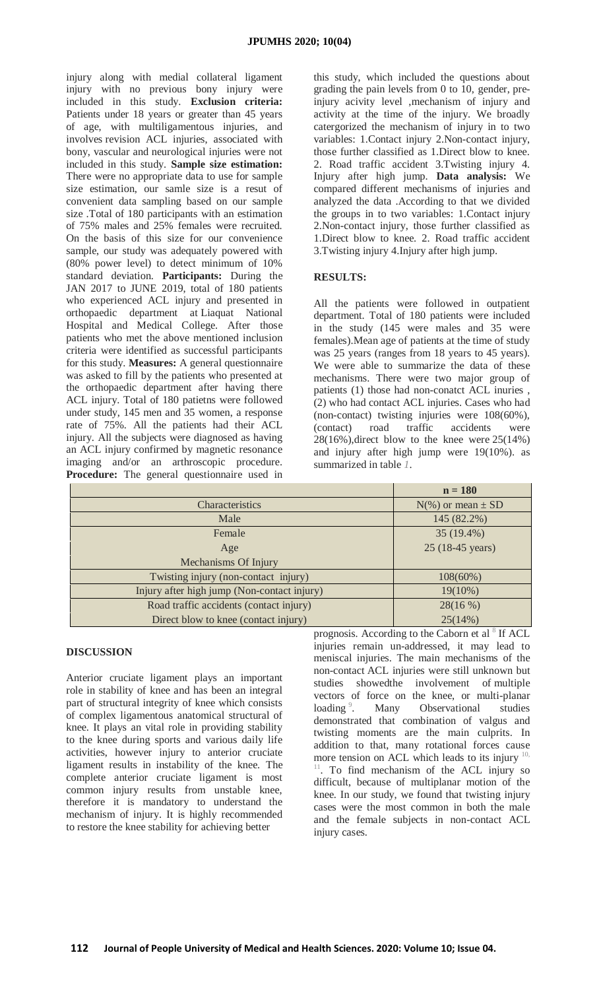injury along with medial collateral ligament injury with no previous bony injury were included in this study. **Exclusion criteria:** Patients under 18 years or greater than 45 years of age, with multiligamentous injuries, and involves revision ACL injuries, associated with bony, vascular and neurological injuries were not included in this study. **Sample size estimation:** There were no appropriate data to use for sample size estimation, our samle size is a resut of convenient data sampling based on our sample size .Total of 180 participants with an estimation of 75% males and 25% females were recruited. On the basis of this size for our convenience sample, our study was adequately powered with (80% power level) to detect minimum of 10% standard deviation. **Participants:** During the JAN 2017 to JUNE 2019, total of 180 patients who experienced ACL injury and presented in orthopaedic department at Liaquat National Hospital and Medical College. After those patients who met the above mentioned inclusion criteria were identified as successful participants for this study. **Measures:** A general questionnaire was asked to fill by the patients who presented at the orthopaedic department after having there ACL injury. Total of 180 patietns were followed under study, 145 men and 35 women, a response rate of 75%. All the patients had their ACL injury. All the subjects were diagnosed as having an ACL injury confirmed by magnetic resonance imaging and/or an arthroscopic procedure. **Procedure:** The general questionnaire used in

this study, which included the questions about grading the pain levels from 0 to 10, gender, preinjury acivity level ,mechanism of injury and activity at the time of the injury. We broadly catergorized the mechanism of injury in to two variables: 1.Contact injury 2.Non-contact injury, those further classified as 1.Direct blow to knee. 2. Road traffic accident 3.Twisting injury 4. Injury after high jump. **Data analysis:** We compared different mechanisms of injuries and analyzed the data .According to that we divided the groups in to two variables: 1.Contact injury 2.Non-contact injury, those further classified as 1.Direct blow to knee. 2. Road traffic accident 3.Twisting injury 4.Injury after high jump.

# **RESULTS:**

All the patients were followed in outpatient department. Total of 180 patients were included in the study (145 were males and 35 were females).Mean age of patients at the time of study was 25 years (ranges from 18 years to 45 years). We were able to summarize the data of these mechanisms. There were two major group of patients (1) those had non-conatct ACL inuries , (2) who had contact ACL injuries. Cases who had (non-contact) twisting injuries were 108(60%), (contact) road traffic accidents were  $28(16\%)$ , direct blow to the knee were  $25(14\%)$ and injury after high jump were 19(10%). as summarized in table *[1](https://www.cureus.com/publish/articles/39256-potential-mechanism-of-injury-causing-acl-impairment/preview#table-anchor-137853)*.

|                                             | $n = 180$                |
|---------------------------------------------|--------------------------|
| <b>Characteristics</b>                      | $N(\%)$ or mean $\pm$ SD |
| Male                                        | 145 (82.2%)              |
| Female                                      | 35 (19.4%)               |
| Age                                         | 25 (18-45 years)         |
| Mechanisms Of Injury                        |                          |
| Twisting injury (non-contact injury)        | $108(60\%)$              |
| Injury after high jump (Non-contact injury) | $19(10\%)$               |
| Road traffic accidents (contact injury)     | 28(16%)                  |
| Direct blow to knee (contact injury)        | 25(14%)<br>$\Omega$      |

## **DISCUSSION**

Anterior cruciate ligament plays an important role in stability of knee and has been an integral part of structural integrity of knee which consists of complex ligamentous anatomical structural of knee. It plays an vital role in providing stability to the knee during sports and various daily life activities, however injury to anterior cruciate ligament results in instability of the knee. The complete anterior cruciate ligament is most common injury results from unstable knee, therefore it is mandatory to understand the mechanism of injury. It is highly recommended to restore the knee stability for achieving better

prognosis. According to the Caborn et al  $8$  If ACL injuries remain un-addressed, it may lead to meniscal injuries. The main mechanisms of the non-contact ACL injuries were still unknown but studies showedthe involvement of multiple vectors of force on the knee, or multi-planar loading<sup>9</sup>[.](https://www.cureus.com/publish/articles/39256-potential-mechanism-of-injury-causing-acl-impairment/preview#references) Many Observational studies demonstrated that combination of valgus and twisting moments are the main culprits. In addition to that, many rotational forces cause more tension on ACL which leads to its injury  $1$ <sup>[11](https://www.cureus.com/publish/articles/39256-potential-mechanism-of-injury-causing-acl-impairment/preview#references)</sup>. To find mechanism of the ACL injury so difficult, because of multiplanar motion of the knee. In our study, we found that twisting injury cases were the most common in both the male and the female subjects in non-contact ACL injury cases.